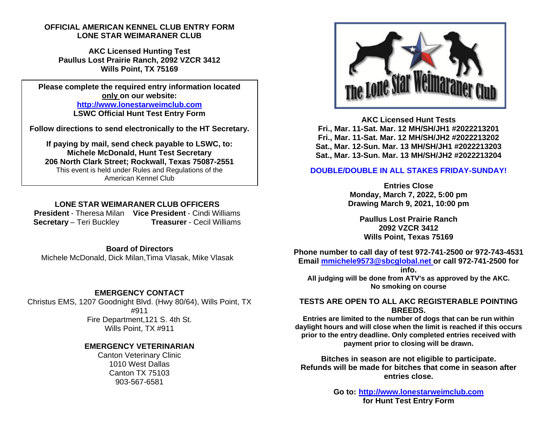## **OFFICIAL AMERICAN KENNEL CLUB ENTRY FORM LONE STAR WEIMARANER CLUB**

**AKC Licensed Hunting Test Paullus Lost Prairie Ranch, 2092 VZCR 3412 Wills Point, TX 75169** 

**Please complete the required entry information located only on our website: http://www.lonestarweimclub.com LSWC Official Hunt Test Entry Form** 

**Follow directions to send electronically to the HT Secretary.** 

**If paying by mail, send check payable to LSWC, to: Michele McDonald, Hunt Test Secretary 206 North Clark Street; Rockwall, Texas 75087-2551**  This event is held under Rules and Regulations of the American Kennel Club

## **LONE STAR WEIMARANER CLUB OFFICERS**

**President** - Theresa Milan **Vice President** - Cindi Williams **Secretary** – Teri Buckley **Treasurer** - Cecil Williams

**Board of Directors**Michele McDonald, Dick Milan,Tima Vlasak, Mike Vlasak

# **EMERGENCY CONTACT**

Christus EMS, 1207 Goodnight Blvd. (Hwy 80/64), Wills Point, TX #911 Fire Department,121 S. 4th St. Wills Point, TX #911

## **EMERGENCY VETERINARIAN**

Canton Veterinary Clinic 1010 West Dallas Canton TX 75103 903-567-6581



**AKC Licensed Hunt Tests Fri., Mar. 11-Sat. Mar. 12 MH/SH/JH1 #2022213201 Fri., Mar. 11-Sat. Mar. 12 MH/SH/JH2 #2022213202 Sat., Mar. 12-Sun. Mar. 13 MH/SH/JH1 #2022213203 Sat., Mar. 13-Sun. Mar. 13 MH/SH/JH2 #2022213204** 

#### **DOUBLE/DOUBLE IN ALL STAKES FRIDAY-SUNDAY!**

**Entries Close Monday, March 7, 2022, 5:00 pm Drawing March 9, 2021, 10:00 pm** 

**Paullus Lost Prairie Ranch 2092 VZCR 3412 Wills Point, Texas 75169** 

**Phone number to call day of test 972-741-2500 or 972-743-4531 Email mmichele9573@sbcglobal.net or call 972-741-2500 for** 

**info. All judging will be done from ATV's as approved by the AKC. No smoking on course** 

**TESTS ARE OPEN TO ALL AKC REGISTERABLE POINTING BREEDS.** 

 **Entries are limited to the number of dogs that can be run within daylight hours and will close when the limit is reached if this occurs prior to the entry deadline. Only completed entries received with payment prior to closing will be drawn.** 

**Bitches in season are not eligible to participate. Refunds will be made for bitches that come in season after entries close.** 

> **Go to: http://www.lonestarweimclub.com for Hunt Test Entry Form**